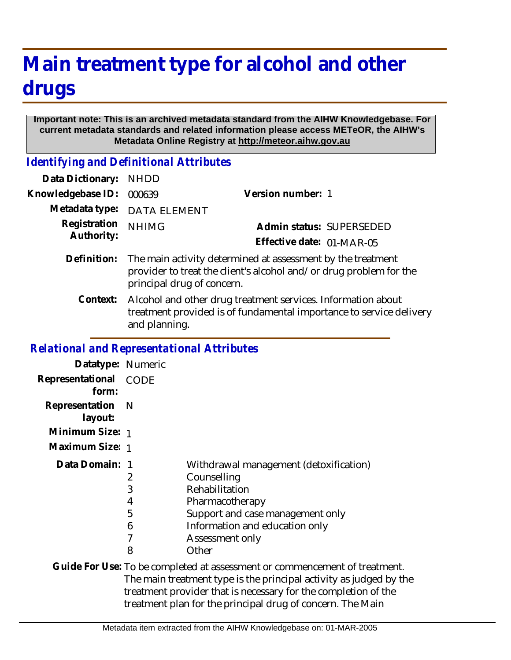## **Main treatment type for alcohol and other drugs**

## **Important note: This is an archived metadata standard from the AIHW Knowledgebase. For current metadata standards and related information please access METeOR, the AIHW's Metadata Online Registry at http://meteor.aihw.gov.au**

*Identifying and Definitional Attributes*

| Data Dictionary:  | <b>NHDD</b>                                                                                                                                                     |                           |  |
|-------------------|-----------------------------------------------------------------------------------------------------------------------------------------------------------------|---------------------------|--|
| Knowledgebase ID: | 000639                                                                                                                                                          | Version number: 1         |  |
| Metadata type:    | <b>DATA ELEMENT</b>                                                                                                                                             |                           |  |
| Registration      | <b>NHIMG</b>                                                                                                                                                    | Admin status: SUPERSEDED  |  |
| Authority:        |                                                                                                                                                                 | Effective date: 01-MAR-05 |  |
| Definition:       | The main activity determined at assessment by the treatment<br>provider to treat the client's alcohol and/or drug problem for the<br>principal drug of concern. |                           |  |
| Context:          | Alcohol and other drug treatment services. Information about<br>treatment provided is of fundamental importance to service delivery<br>and planning.            |                           |  |

## *Relational and Representational Attributes*

| Datatype: Numeric                                                  |                            |                                                                                                                                                                                              |
|--------------------------------------------------------------------|----------------------------|----------------------------------------------------------------------------------------------------------------------------------------------------------------------------------------------|
| Representational<br>form:                                          | <b>CODE</b>                |                                                                                                                                                                                              |
| Representation<br>layout:                                          | – N                        |                                                                                                                                                                                              |
| Minimum Size: 1                                                    |                            |                                                                                                                                                                                              |
| Maximum Size: 1                                                    |                            |                                                                                                                                                                                              |
| Data Domain: 1                                                     | 2<br>3<br>4<br>5<br>6<br>8 | Withdrawal management (detoxification)<br>Counselling<br>Rehabilitation<br>Pharmacotherapy<br>Support and case management only<br>Information and education only<br>Assessment only<br>Other |
|                                                                    |                            | Guide For Use: To be completed at assessment or commencement of treatment.                                                                                                                   |
| The main treatment type is the principal activity as judged by the |                            |                                                                                                                                                                                              |

treatment provider that is necessary for the completion of the treatment plan for the principal drug of concern. The Main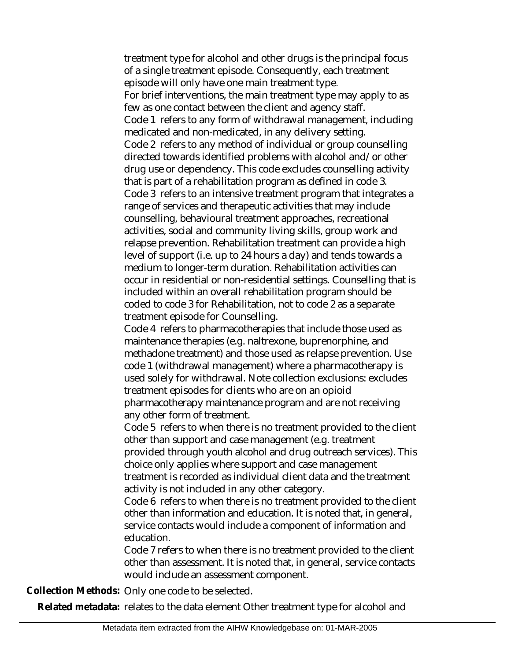treatment type for alcohol and other drugs is the principal focus of a single treatment episode. Consequently, each treatment episode will only have one main treatment type. For brief interventions, the main treatment type may apply to as few as one contact between the client and agency staff. Code 1 refers to any form of withdrawal management, including medicated and non-medicated, in any delivery setting. Code 2 refers to any method of individual or group counselling directed towards identified problems with alcohol and/or other drug use or dependency. This code excludes counselling activity that is part of a rehabilitation program as defined in code 3. Code 3 refers to an intensive treatment program that integrates a range of services and therapeutic activities that may include counselling, behavioural treatment approaches, recreational activities, social and community living skills, group work and relapse prevention. Rehabilitation treatment can provide a high level of support (i.e. up to 24 hours a day) and tends towards a medium to longer-term duration. Rehabilitation activities can occur in residential or non-residential settings. Counselling that is included within an overall rehabilitation program should be coded to code 3 for Rehabilitation, not to code 2 as a separate treatment episode for Counselling.

Code 4 refers to pharmacotherapies that include those used as maintenance therapies (e.g. naltrexone, buprenorphine, and methadone treatment) and those used as relapse prevention. Use code 1 (withdrawal management) where a pharmacotherapy is used solely for withdrawal. Note collection exclusions: excludes treatment episodes for clients who are on an opioid pharmacotherapy maintenance program and are not receiving any other form of treatment.

Code 5 refers to when there is no treatment provided to the client other than support and case management (e.g. treatment provided through youth alcohol and drug outreach services). This choice only applies where support and case management treatment is recorded as individual client data and the treatment activity is not included in any other category.

Code 6 refers to when there is no treatment provided to the client other than information and education. It is noted that, in general, service contacts would include a component of information and education.

Code 7 refers to when there is no treatment provided to the client other than assessment. It is noted that, in general, service contacts would include an assessment component.

**Collection Methods:** Only one code to be selected.

**Related metadata:** relates to the data element Other treatment type for alcohol and